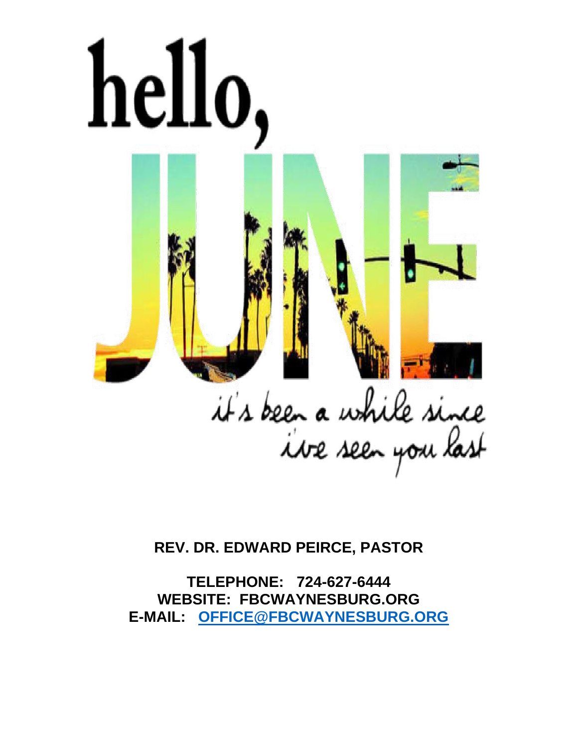

**REV. DR. EDWARD PEIRCE, PASTOR**

**TELEPHONE: 724-627-6444 WEBSITE: FBCWAYNESBURG.ORG E-MAIL: [OFFICE@FBCWAYNESBURG.ORG](mailto:OFFICE@FBCWAYNESBURG.ORG)**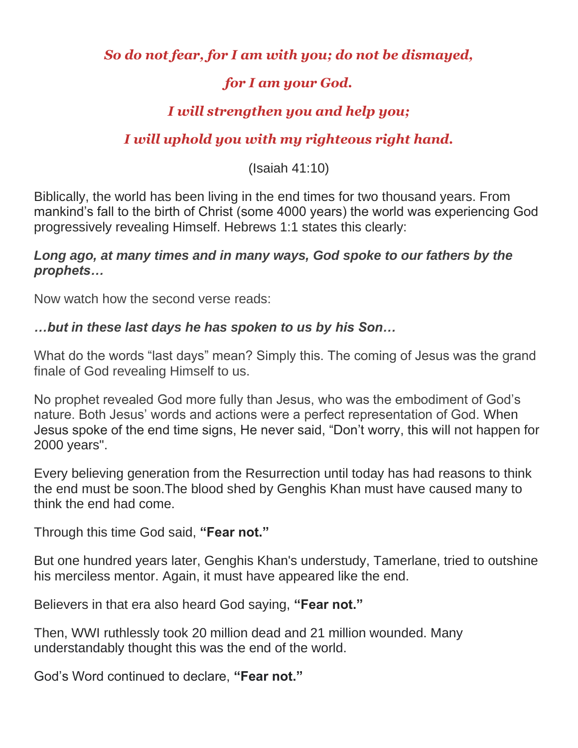## *So do not fear, for I am with you; do not be dismayed,*

# *for I am your God.*

## *I will strengthen you and help you;*

# *I will uphold you with my righteous right hand.*

(Isaiah 41:10)

Biblically, the world has been living in the end times for two thousand years. From mankind's fall to the birth of Christ (some 4000 years) the world was experiencing God progressively revealing Himself. Hebrews 1:1 states this clearly:

#### *Long ago, at many times and in many ways, God spoke to our fathers by the prophets…*

Now watch how the second verse reads:

#### *…but in these last days he has spoken to us by his Son…*

What do the words "last days" mean? Simply this. The coming of Jesus was the grand finale of God revealing Himself to us.

No prophet revealed God more fully than Jesus, who was the embodiment of God's nature. Both Jesus' words and actions were a perfect representation of God. When Jesus spoke of the end time signs, He never said, "Don't worry, this will not happen for 2000 years".

Every believing generation from the Resurrection until today has had reasons to think the end must be soon.The blood shed by Genghis Khan must have caused many to think the end had come.

Through this time God said, **"Fear not."**

But one hundred years later, Genghis Khan's understudy, Tamerlane, tried to outshine his merciless mentor. Again, it must have appeared like the end.

Believers in that era also heard God saying, **"Fear not."**

Then, WWI ruthlessly took 20 million dead and 21 million wounded. Many understandably thought this was the end of the world.

God's Word continued to declare, **"Fear not."**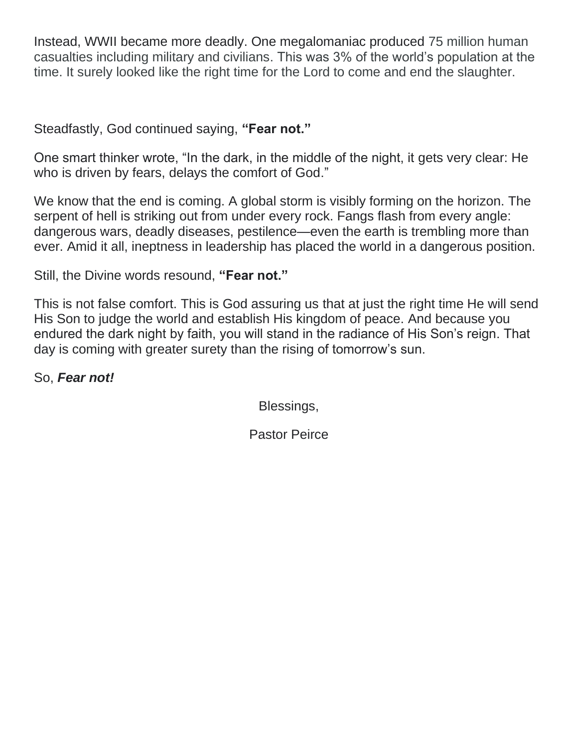Instead, WWII became more deadly. One megalomaniac produced 75 million human casualties including military and civilians. This was 3% of the world's population at the time. It surely looked like the right time for the Lord to come and end the slaughter.

Steadfastly, God continued saying, **"Fear not."**

One smart thinker wrote, "In the dark, in the middle of the night, it gets very clear: He who is driven by fears, delays the comfort of God."

We know that the end is coming. A global storm is visibly forming on the horizon. The serpent of hell is striking out from under every rock. Fangs flash from every angle: dangerous wars, deadly diseases, pestilence—even the earth is trembling more than ever. Amid it all, ineptness in leadership has placed the world in a dangerous position.

Still, the Divine words resound, **"Fear not."**

This is not false comfort. This is God assuring us that at just the right time He will send His Son to judge the world and establish His kingdom of peace. And because you endured the dark night by faith, you will stand in the radiance of His Son's reign. That day is coming with greater surety than the rising of tomorrow's sun.

So, *Fear not!*

Blessings,

Pastor Peirce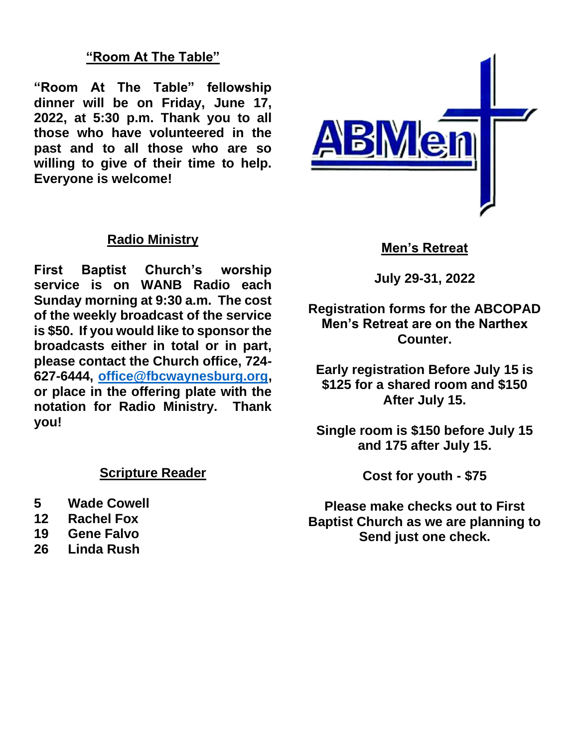## **"Room At The Table"**

**"Room At The Table" fellowship dinner will be on Friday, June 17, 2022, at 5:30 p.m. Thank you to all those who have volunteered in the past and to all those who are so willing to give of their time to help. Everyone is welcome!**

#### **Radio Ministry**

**First Baptist Church's worship service is on WANB Radio each Sunday morning at 9:30 a.m. The cost of the weekly broadcast of the service is \$50. If you would like to sponsor the broadcasts either in total or in part, please contact the Church office, 724- 627-6444, [office@fbcwaynesburg.org,](mailto:office@fbcwaynesburg.org) or place in the offering plate with the notation for Radio Ministry. Thank you!**

#### **Scripture Reader**

- **5 Wade Cowell**
- **12 Rachel Fox**
- **19 Gene Falvo**
- **26 Linda Rush**



#### **Men's Retreat**

**July 29-31, 2022**

**Registration forms for the ABCOPAD Men's Retreat are on the Narthex Counter.**

**Early registration Before July 15 is \$125 for a shared room and \$150 After July 15.**

**Single room is \$150 before July 15 and 175 after July 15.**

**Cost for youth - \$75**

**Please make checks out to First Baptist Church as we are planning to Send just one check.**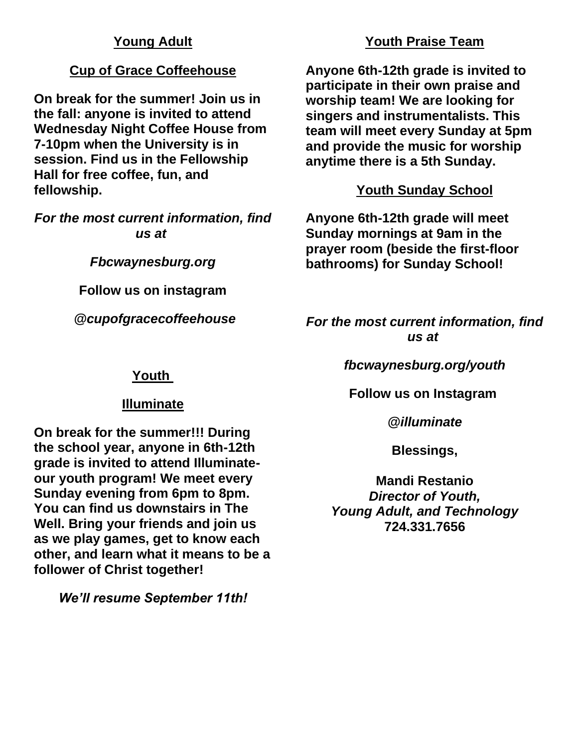#### **Young Adult**

#### **Cup of Grace Coffeehouse**

**On break for the summer! Join us in the fall: anyone is invited to attend Wednesday Night Coffee House from 7-10pm when the University is in session. Find us in the Fellowship Hall for free coffee, fun, and fellowship.**

*For the most current information, find us at*

*Fbcwaynesburg.org*

**Follow us on instagram**

*@cupofgracecoffeehouse*

#### **Youth Praise Team**

**Anyone 6th-12th grade is invited to participate in their own praise and worship team! We are looking for singers and instrumentalists. This team will meet every Sunday at 5pm and provide the music for worship anytime there is a 5th Sunday.**

## **Youth Sunday School**

**Anyone 6th-12th grade will meet Sunday mornings at 9am in the prayer room (beside the first-floor bathrooms) for Sunday School!**

*For the most current information, find us at*

*fbcwaynesburg.org/youth*

**Follow us on Instagram**

*@illuminate*

**Blessings,**

**Mandi Restanio** *Director of Youth, Young Adult, and Technology* **724.331.7656**

**Youth**

## **Illuminate**

**On break for the summer!!! During the school year, anyone in 6th-12th grade is invited to attend Illuminateour youth program! We meet every Sunday evening from 6pm to 8pm. You can find us downstairs in The Well. Bring your friends and join us as we play games, get to know each other, and learn what it means to be a follower of Christ together!**

*We'll resume September 11th!*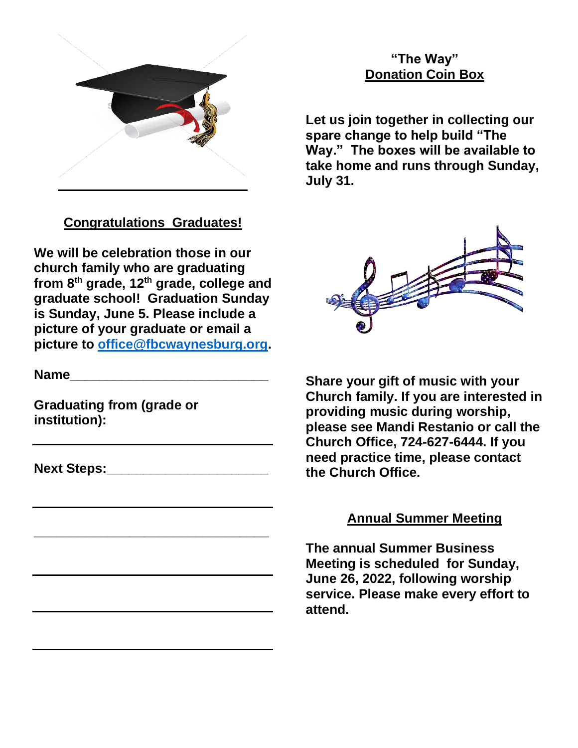

# **Congratulations Graduates!**

**We will be celebration those in our church family who are graduating from 8th grade, 12th grade, college and graduate school! Graduation Sunday is Sunday, June 5. Please include a picture of your graduate or email a picture to [office@fbcwaynesburg.org.](mailto:office@fbcwaynesburg.org)**

**Name\_\_\_\_\_\_\_\_\_\_\_\_\_\_\_\_\_\_\_\_\_\_\_\_\_\_\_**

**Graduating from (grade or institution):**

**Next Steps:** 

**\_\_\_\_\_\_\_\_\_\_\_\_\_\_\_\_\_\_\_\_\_\_\_\_\_\_\_\_\_\_\_\_**

**Let us join together in collecting our spare change to help build "The Way." The boxes will be available to take home and runs through Sunday, July 31.**



**Share your gift of music with your Church family. If you are interested in providing music during worship, please see Mandi Restanio or call the Church Office, 724-627-6444. If you need practice time, please contact the Church Office.**

## **Annual Summer Meeting**

**The annual Summer Business Meeting is scheduled for Sunday, June 26, 2022, following worship service. Please make every effort to attend.**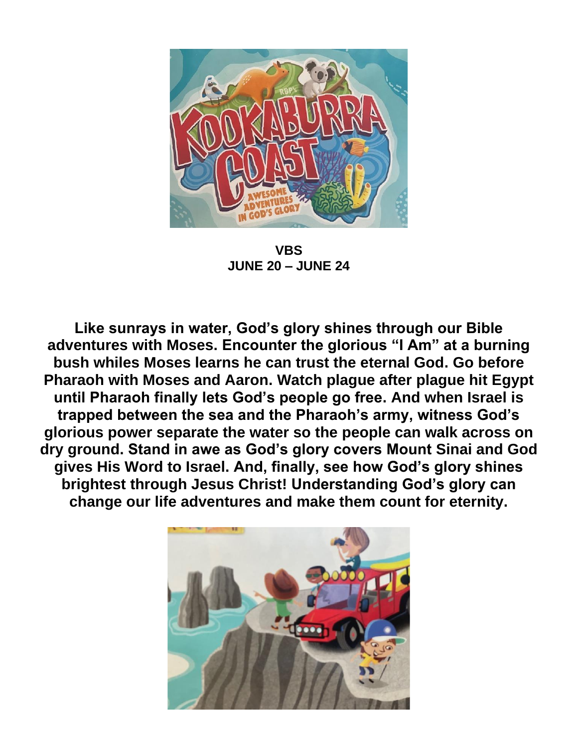

**VBS JUNE 20 – JUNE 24**

**Like sunrays in water, God's glory shines through our Bible adventures with Moses. Encounter the glorious "I Am" at a burning bush whiles Moses learns he can trust the eternal God. Go before Pharaoh with Moses and Aaron. Watch plague after plague hit Egypt until Pharaoh finally lets God's people go free. And when Israel is trapped between the sea and the Pharaoh's army, witness God's glorious power separate the water so the people can walk across on dry ground. Stand in awe as God's glory covers Mount Sinai and God gives His Word to Israel. And, finally, see how God's glory shines brightest through Jesus Christ! Understanding God's glory can change our life adventures and make them count for eternity.**

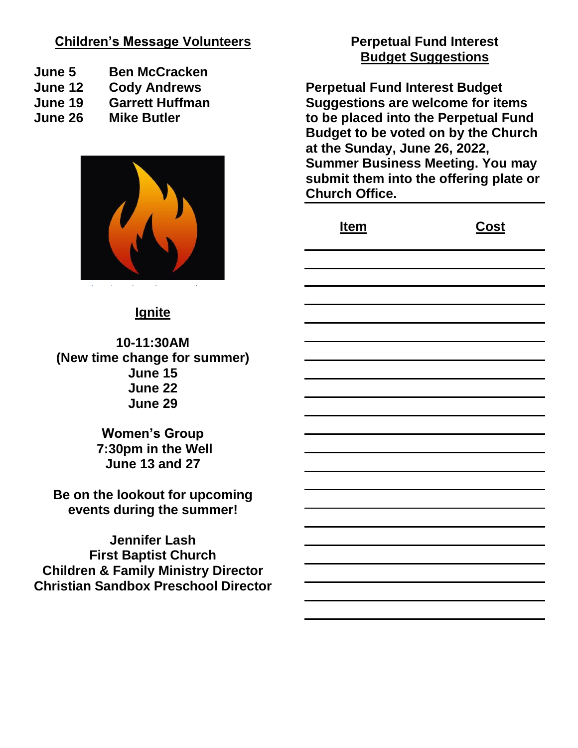#### **Children's Message Volunteers**

- **June 5 Ben McCracken**
- **June 12 Cody Andrews**
- **June 19 Garrett Huffman**
- **June 26 Mike Butler**



#### **Ignite**

**10-11:30AM (New time change for summer) June 15 June 22 June 29**

> **Women's Group 7:30pm in the Well June 13 and 27**

**Be on the lookout for upcoming events during the summer!**

**Jennifer Lash First Baptist Church Children & Family Ministry Director Christian Sandbox Preschool Director**

## **Perpetual Fund Interest Budget Suggestions**

**Perpetual Fund Interest Budget Suggestions are welcome for items to be placed into the Perpetual Fund Budget to be voted on by the Church at the Sunday, June 26, 2022, Summer Business Meeting. You may submit them into the offering plate or Church Office.**

| <u>Item</u> | <u>Cost</u> |
|-------------|-------------|
|             |             |
|             |             |
|             |             |
|             |             |
|             |             |
|             |             |
|             |             |
|             |             |
|             |             |
|             |             |
|             |             |
|             |             |
|             |             |
|             |             |
|             |             |
|             |             |
|             |             |
|             |             |
|             |             |